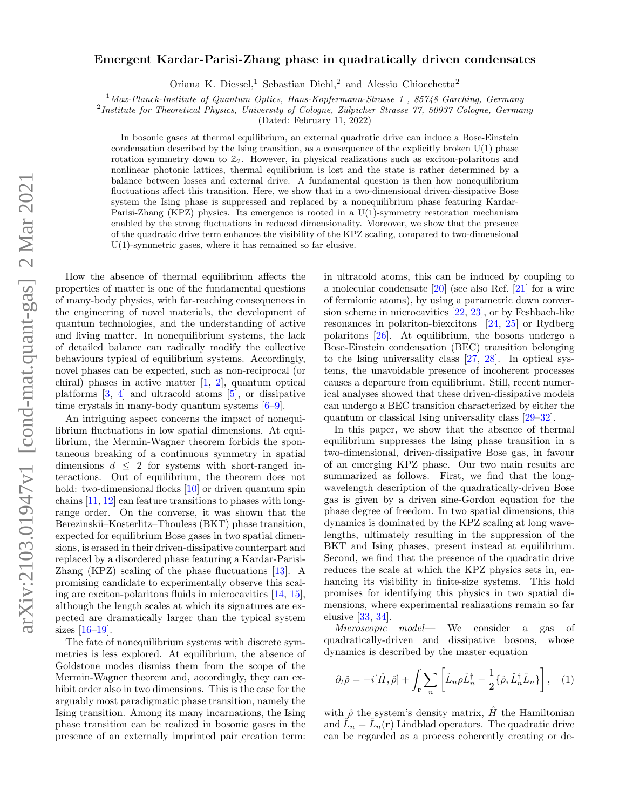# $arXiv:2103.01947v1$  [cond-mat.quant-gas] 2 Mar 2021 arXiv:2103.01947v1 [cond-mat.quant-gas] 2 Mar 2021

# Emergent Kardar-Parisi-Zhang phase in quadratically driven condensates

Oriana K. Diessel,<sup>1</sup> Sebastian Diehl,<sup>2</sup> and Alessio Chiocchetta<sup>2</sup>

<sup>1</sup> Max-Planck-Institute of Quantum Optics, Hans-Kopfermann-Strasse 1, 85748 Garching, Germany

<sup>2</sup>Institute for Theoretical Physics, University of Cologne, Zülpicher Strasse 77, 50937 Cologne, Germany

(Dated: February 11, 2022)

In bosonic gases at thermal equilibrium, an external quadratic drive can induce a Bose-Einstein condensation described by the Ising transition, as a consequence of the explicitly broken  $U(1)$  phase rotation symmetry down to  $\mathbb{Z}_2$ . However, in physical realizations such as exciton-polaritons and nonlinear photonic lattices, thermal equilibrium is lost and the state is rather determined by a balance between losses and external drive. A fundamental question is then how nonequilibrium fluctuations affect this transition. Here, we show that in a two-dimensional driven-dissipative Bose system the Ising phase is suppressed and replaced by a nonequilibrium phase featuring Kardar-Parisi-Zhang (KPZ) physics. Its emergence is rooted in a U(1)-symmetry restoration mechanism enabled by the strong fluctuations in reduced dimensionality. Moreover, we show that the presence of the quadratic drive term enhances the visibility of the KPZ scaling, compared to two-dimensional U(1)-symmetric gases, where it has remained so far elusive.

How the absence of thermal equilibrium affects the properties of matter is one of the fundamental questions of many-body physics, with far-reaching consequences in the engineering of novel materials, the development of quantum technologies, and the understanding of active and living matter. In nonequilibrium systems, the lack of detailed balance can radically modify the collective behaviours typical of equilibrium systems. Accordingly, novel phases can be expected, such as non-reciprocal (or chiral) phases in active matter  $[1, 2]$  $[1, 2]$  $[1, 2]$ , quantum optical platforms  $[3, 4]$  $[3, 4]$  $[3, 4]$  and ultracold atoms  $[5]$ , or dissipative time crystals in many-body quantum systems [\[6–](#page-6-5)[9\]](#page-6-6).

An intriguing aspect concerns the impact of nonequilibrium fluctuations in low spatial dimensions. At equilibrium, the Mermin-Wagner theorem forbids the spontaneous breaking of a continuous symmetry in spatial dimensions  $d \leq 2$  for systems with short-ranged interactions. Out of equilibrium, the theorem does not hold: two-dimensional flocks [\[10\]](#page-6-7) or driven quantum spin chains [\[11,](#page-6-8) [12\]](#page-6-9) can feature transitions to phases with longrange order. On the converse, it was shown that the Berezinskii–Kosterlitz–Thouless (BKT) phase transition, expected for equilibrium Bose gases in two spatial dimensions, is erased in their driven-dissipative counterpart and replaced by a disordered phase featuring a Kardar-Parisi-Zhang (KPZ) scaling of the phase fluctuations [\[13\]](#page-6-10). A promising candidate to experimentally observe this scaling are exciton-polaritons fluids in microcavities [\[14,](#page-6-11) [15\]](#page-6-12), although the length scales at which its signatures are expected are dramatically larger than the typical system sizes [\[16–](#page-6-13)[19\]](#page-6-14).

The fate of nonequilibrium systems with discrete symmetries is less explored. At equilibrium, the absence of Goldstone modes dismiss them from the scope of the Mermin-Wagner theorem and, accordingly, they can exhibit order also in two dimensions. This is the case for the arguably most paradigmatic phase transition, namely the Ising transition. Among its many incarnations, the Ising phase transition can be realized in bosonic gases in the presence of an externally imprinted pair creation term:

in ultracold atoms, this can be induced by coupling to a molecular condensate [\[20\]](#page-6-15) (see also Ref. [\[21\]](#page-6-16) for a wire of fermionic atoms), by using a parametric down conversion scheme in microcavities [\[22,](#page-6-17) [23\]](#page-6-18), or by Feshbach-like resonances in polariton-biexcitons [\[24,](#page-6-19) [25\]](#page-6-20) or Rydberg polaritons [\[26\]](#page-6-21). At equilibrium, the bosons undergo a Bose-Einstein condensation (BEC) transition belonging to the Ising universality class [\[27,](#page-6-22) [28\]](#page-6-23). In optical systems, the unavoidable presence of incoherent processes causes a departure from equilibrium. Still, recent numerical analyses showed that these driven-dissipative models can undergo a BEC transition characterized by either the quantum or classical Ising universality class [\[29–](#page-6-24)[32\]](#page-6-25).

In this paper, we show that the absence of thermal equilibrium suppresses the Ising phase transition in a two-dimensional, driven-dissipative Bose gas, in favour of an emerging KPZ phase. Our two main results are summarized as follows. First, we find that the longwavelength description of the quadratically-driven Bose gas is given by a driven sine-Gordon equation for the phase degree of freedom. In two spatial dimensions, this dynamics is dominated by the KPZ scaling at long wavelengths, ultimately resulting in the suppression of the BKT and Ising phases, present instead at equilibrium. Second, we find that the presence of the quadratic drive reduces the scale at which the KPZ physics sets in, enhancing its visibility in finite-size systems. This hold promises for identifying this physics in two spatial dimensions, where experimental realizations remain so far elusive [\[33,](#page-6-26) [34\]](#page-6-27).

Microscopic model— We consider a gas of quadratically-driven and dissipative bosons, whose dynamics is described by the master equation

$$
\partial_t \hat{\rho} = -i[\hat{H}, \hat{\rho}] + \int_{\mathbf{r}} \sum_n \left[ \hat{L}_n \rho \hat{L}_n^\dagger - \frac{1}{2} \{ \hat{\rho}, \hat{L}_n^\dagger \hat{L}_n \} \right], \quad (1)
$$

with  $\hat{\rho}$  the system's density matrix, H the Hamiltonian and  $\hat{L}_n = \hat{L}_n(\mathbf{r})$  Lindblad operators. The quadratic drive can be regarded as a process coherently creating or de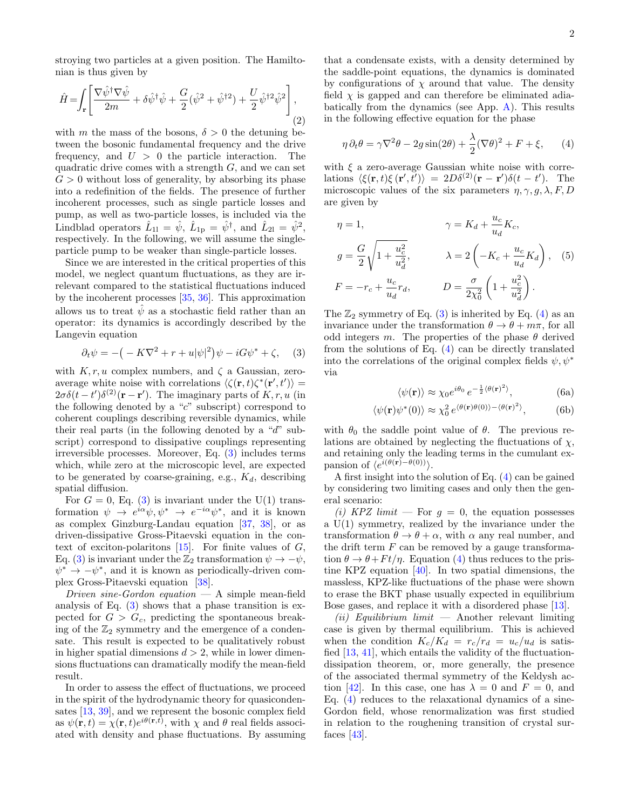stroying two particles at a given position. The Hamiltonian is thus given by

<span id="page-1-3"></span>
$$
\hat{H} = \int_{\mathbf{r}} \left[ \frac{\nabla \hat{\psi}^{\dagger} \nabla \hat{\psi}}{2m} + \delta \hat{\psi}^{\dagger} \hat{\psi} + \frac{G}{2} (\hat{\psi}^2 + \hat{\psi}^{\dagger 2}) + \frac{U}{2} \hat{\psi}^{\dagger 2} \hat{\psi}^2 \right],
$$
\n(2)

with m the mass of the bosons,  $\delta > 0$  the detuning between the bosonic fundamental frequency and the drive frequency, and  $U > 0$  the particle interaction. The quadratic drive comes with a strength  $G$ , and we can set  $G > 0$  without loss of generality, by absorbing its phase into a redefinition of the fields. The presence of further incoherent processes, such as single particle losses and pump, as well as two-particle losses, is included via the Lindblad operators  $\hat{L}_{11} = \hat{\psi}, \ \hat{L}_{1p} = \hat{\psi}^{\dagger}, \text{ and } \ \hat{L}_{21} = \hat{\psi}^2,$ respectively. In the following, we will assume the singleparticle pump to be weaker than single-particle losses.

Since we are interested in the critical properties of this model, we neglect quantum fluctuations, as they are irrelevant compared to the statistical fluctuations induced by the incoherent processes [\[35,](#page-6-28) [36\]](#page-6-29). This approximation allows us to treat  $\hat{\psi}$  as a stochastic field rather than an operator: its dynamics is accordingly described by the Langevin equation

<span id="page-1-0"></span>
$$
\partial_t \psi = -\big(-K\nabla^2 + r + u|\psi|^2\big)\psi - iG\psi^* + \zeta,\quad (3)
$$

with  $K, r, u$  complex numbers, and  $\zeta$  a Gaussian, zeroaverage white noise with correlations  $\langle \zeta(\mathbf{r},t)\zeta^*(\mathbf{r}',t') \rangle =$  $2\sigma\delta(t-t')\delta^{(2)}(\mathbf{r}-\mathbf{r}')$ . The imaginary parts of  $K, r, u$  (in the following denoted by a "c" subscript) correspond to coherent couplings describing reversible dynamics, while their real parts (in the following denoted by a "d" subscript) correspond to dissipative couplings representing irreversible processes. Moreover, Eq. [\(3\)](#page-1-0) includes terms which, while zero at the microscopic level, are expected to be generated by coarse-graining, e.g.,  $K_d$ , describing spatial diffusion.

For  $G = 0$ , Eq. [\(3\)](#page-1-0) is invariant under the U(1) transformation  $\psi \to e^{i\alpha}\psi, \psi^* \to e^{-i\alpha}\psi^*$ , and it is known as complex Ginzburg-Landau equation [\[37,](#page-6-30) [38\]](#page-6-31), or as driven-dissipative Gross-Pitaevski equation in the context of exciton-polaritons  $[15]$ . For finite values of  $G$ , Eq. [\(3\)](#page-1-0) is invariant under the  $\mathbb{Z}_2$  transformation  $\psi \to -\psi$ ,  $\psi^* \to -\psi^*$ , and it is known as periodically-driven complex Gross-Pitaevski equation [\[38\]](#page-6-31).

Driven sine-Gordon equation — A simple mean-field analysis of Eq. [\(3\)](#page-1-0) shows that a phase transition is expected for  $G > G_c$ , predicting the spontaneous breaking of the  $\mathbb{Z}_2$  symmetry and the emergence of a condensate. This result is expected to be qualitatively robust in higher spatial dimensions  $d > 2$ , while in lower dimensions fluctuations can dramatically modify the mean-field result.

In order to assess the effect of fluctuations, we proceed in the spirit of the hydrodynamic theory for quasicondensates [\[13,](#page-6-10) [39\]](#page-6-32), and we represent the bosonic complex field as  $\psi(\mathbf{r},t) = \chi(\mathbf{r},t)e^{i\theta(\mathbf{r},t)}$ , with  $\chi$  and  $\theta$  real fields associated with density and phase fluctuations. By assuming that a condensate exists, with a density determined by the saddle-point equations, the dynamics is dominated by configurations of  $\chi$  around that value. The density field  $\chi$  is gapped and can therefore be eliminated adiabatically from the dynamics (see App. [A\)](#page-4-0). This results in the following effective equation for the phase

<span id="page-1-1"></span>
$$
\eta \,\partial_t \theta = \gamma \nabla^2 \theta - 2g \sin(2\theta) + \frac{\lambda}{2} (\nabla \theta)^2 + F + \xi, \qquad (4)
$$

with  $\xi$  a zero-average Gaussian white noise with correlations  $\langle \xi(\mathbf{r}, t) \xi(\mathbf{r}', t') \rangle = 2D\delta^{(2)}(\mathbf{r} - \mathbf{r}')\delta(t - t')$ . The microscopic values of the six parameters  $\eta$ ,  $\gamma$ ,  $g$ ,  $\lambda$ ,  $F$ ,  $D$ are given by

$$
\eta = 1, \qquad \gamma = K_d + \frac{u_c}{u_d} K_c,
$$
  
\n
$$
g = \frac{G}{2} \sqrt{1 + \frac{u_c^2}{u_d^2}}, \qquad \lambda = 2 \left( -K_c + \frac{u_c}{u_d} K_d \right), \quad (5)
$$
  
\n
$$
F = -r_c + \frac{u_c}{u_d} r_d, \qquad D = \frac{\sigma}{2\chi_0^2} \left( 1 + \frac{u_c^2}{u_d^2} \right).
$$

The  $\mathbb{Z}_2$  symmetry of Eq. [\(3\)](#page-1-0) is inherited by Eq. [\(4\)](#page-1-1) as an invariance under the transformation  $\theta \to \theta + m\pi$ , for all odd integers m. The properties of the phase  $\theta$  derived from the solutions of Eq. [\(4\)](#page-1-1) can be directly translated into the correlations of the original complex fields  $\psi, \psi^*$ via

<span id="page-1-4"></span>
$$
\langle \psi(\mathbf{r}) \rangle \approx \chi_0 e^{i\theta_0} e^{-\frac{1}{2} \langle \theta(\mathbf{r})^2 \rangle}, \tag{6a}
$$

<span id="page-1-2"></span>
$$
\langle \psi(\mathbf{r}) \psi^*(0) \rangle \approx \chi_0^2 \, e^{\langle \theta(\mathbf{r}) \theta(0) \rangle - \langle \theta(\mathbf{r})^2 \rangle},\tag{6b}
$$

with  $\theta_0$  the saddle point value of  $\theta$ . The previous relations are obtained by neglecting the fluctuations of  $\chi$ , and retaining only the leading terms in the cumulant expansion of  $\langle e^{i(\theta(\mathbf{r})-\theta(0))}\rangle$ .

A first insight into the solution of Eq. [\(4\)](#page-1-1) can be gained by considering two limiting cases and only then the general scenario:

(i) KPZ limit — For  $g = 0$ , the equation possesses a U(1) symmetry, realized by the invariance under the transformation  $\theta \to \theta + \alpha$ , with  $\alpha$  any real number, and the drift term  $F$  can be removed by a gauge transformation  $\theta \to \theta + F t / \eta$ . Equation [\(4\)](#page-1-1) thus reduces to the pristine KPZ equation [\[40\]](#page-6-33). In two spatial dimensions, the massless, KPZ-like fluctuations of the phase were shown to erase the BKT phase usually expected in equilibrium Bose gases, and replace it with a disordered phase [\[13\]](#page-6-10).

(ii) Equilibrium limit  $-$  Another relevant limiting case is given by thermal equilibrium. This is achieved when the condition  $K_c/K_d = r_c/r_d = u_c/u_d$  is satisfied  $[13, 41]$  $[13, 41]$  $[13, 41]$ , which entails the validity of the fluctuationdissipation theorem, or, more generally, the presence of the associated thermal symmetry of the Keldysh ac-tion [\[42\]](#page-6-35). In this case, one has  $\lambda = 0$  and  $F = 0$ , and Eq. [\(4\)](#page-1-1) reduces to the relaxational dynamics of a sine-Gordon field, whose renormalization was first studied in relation to the roughening transition of crystal surfaces  $[43]$ .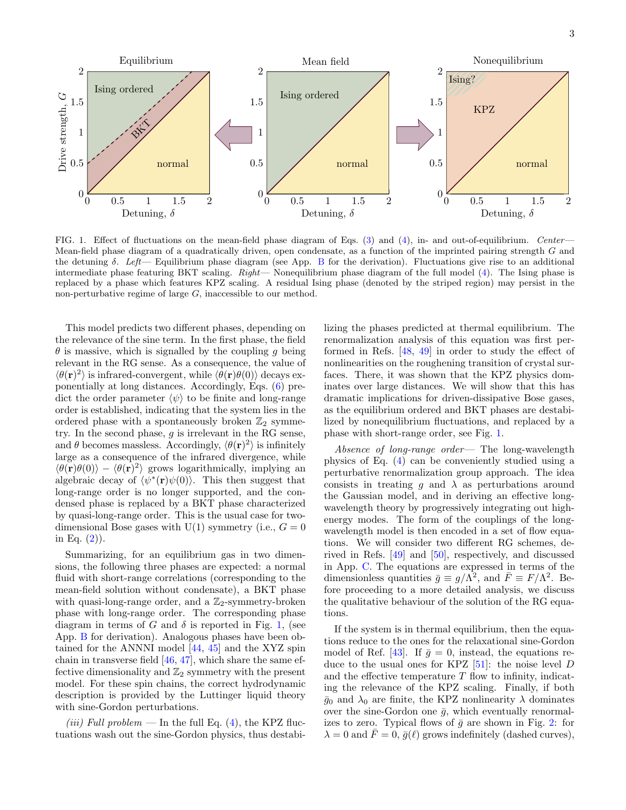

<span id="page-2-0"></span>FIG. 1. Effect of fluctuations on the mean-field phase diagram of Eqs. [\(3\)](#page-1-0) and [\(4\)](#page-1-1), in- and out-of-equilibrium. Center— Mean-field phase diagram of a quadratically driven, open condensate, as a function of the imprinted pairing strength G and the detuning  $\delta$ . Left— Equilibrium phase diagram (see App. [B](#page-4-1) for the derivation). Fluctuations give rise to an additional intermediate phase featuring BKT scaling. Right— Nonequilibrium phase diagram of the full model [\(4\)](#page-1-1). The Ising phase is replaced by a phase which features KPZ scaling. A residual Ising phase (denoted by the striped region) may persist in the non-perturbative regime of large  $G$ , inaccessible to our method.

This model predicts two different phases, depending on the relevance of the sine term. In the first phase, the field  $\theta$  is massive, which is signalled by the coupling q being relevant in the RG sense. As a consequence, the value of  $\langle \theta(\mathbf{r})^2 \rangle$  is infrared-convergent, while  $\langle \theta(\mathbf{r})\theta(0) \rangle$  decays exponentially at long distances. Accordingly, Eqs. [\(6\)](#page-1-2) predict the order parameter  $\langle \psi \rangle$  to be finite and long-range order is established, indicating that the system lies in the ordered phase with a spontaneously broken  $\mathbb{Z}_2$  symmetry. In the second phase,  $g$  is irrelevant in the RG sense, and  $\theta$  becomes massless. Accordingly,  $\langle \theta(\mathbf{r})^2 \rangle$  is infinitely large as a consequence of the infrared divergence, while  $\langle \theta(\mathbf{r})\theta(0)\rangle - \langle \theta(\mathbf{r})^2 \rangle$  grows logarithmically, implying an algebraic decay of  $\langle \psi^*(\mathbf{r})\psi(0)\rangle$ . This then suggest that long-range order is no longer supported, and the condensed phase is replaced by a BKT phase characterized by quasi-long-range order. This is the usual case for twodimensional Bose gases with U(1) symmetry (i.e.,  $G = 0$ in Eq.  $(2)$ ).

Summarizing, for an equilibrium gas in two dimensions, the following three phases are expected: a normal fluid with short-range correlations (corresponding to the mean-field solution without condensate), a BKT phase with quasi-long-range order, and a  $\mathbb{Z}_2$ -symmetry-broken phase with long-range order. The corresponding phase diagram in terms of G and  $\delta$  is reported in Fig. [1,](#page-2-0) (see App. [B](#page-4-1) for derivation). Analogous phases have been obtained for the ANNNI model [\[44,](#page-6-37) [45\]](#page-6-38) and the XYZ spin chain in transverse field [\[46,](#page-6-39) [47\]](#page-6-40), which share the same effective dimensionality and  $\mathbb{Z}_2$  symmetry with the present model. For these spin chains, the correct hydrodynamic description is provided by the Luttinger liquid theory with sine-Gordon perturbations.

(iii) Full problem — In the full Eq.  $(4)$ , the KPZ fluctuations wash out the sine-Gordon physics, thus destabilizing the phases predicted at thermal equilibrium. The renormalization analysis of this equation was first performed in Refs. [\[48,](#page-6-41) [49\]](#page-6-42) in order to study the effect of nonlinearities on the roughening transition of crystal surfaces. There, it was shown that the KPZ physics dominates over large distances. We will show that this has dramatic implications for driven-dissipative Bose gases, as the equilibrium ordered and BKT phases are destabilized by nonequilibrium fluctuations, and replaced by a phase with short-range order, see Fig. [1.](#page-2-0)

Absence of long-range order— The long-wavelength physics of Eq. [\(4\)](#page-1-1) can be conveniently studied using a perturbative renormalization group approach. The idea consists in treating g and  $\lambda$  as perturbations around the Gaussian model, and in deriving an effective longwavelength theory by progressively integrating out highenergy modes. The form of the couplings of the longwavelength model is then encoded in a set of flow equations. We will consider two different RG schemes, derived in Refs. [\[49\]](#page-6-42) and [\[50\]](#page-6-43), respectively, and discussed in App. [C.](#page-4-2) The equations are expressed in terms of the dimensionless quantities  $\bar{g} \equiv g/\Lambda^2$ , and  $\bar{F} \equiv F/\Lambda^2$ . Before proceeding to a more detailed analysis, we discuss the qualitative behaviour of the solution of the RG equations.

If the system is in thermal equilibrium, then the equations reduce to the ones for the relaxational sine-Gordon model of Ref. [\[43\]](#page-6-36). If  $\bar{g} = 0$ , instead, the equations reduce to the usual ones for KPZ  $[51]$ : the noise level D and the effective temperature  $T$  flow to infinity, indicating the relevance of the KPZ scaling. Finally, if both  $\bar{g}_0$  and  $\lambda_0$  are finite, the KPZ nonlinearity  $\lambda$  dominates over the sine-Gordon one  $\bar{g}$ , which eventually renormalizes to zero. Typical flows of  $\bar{g}$  are shown in Fig. [2:](#page-3-0) for  $\lambda = 0$  and  $\bar{F} = 0$ ,  $\bar{g}(\ell)$  grows indefinitely (dashed curves),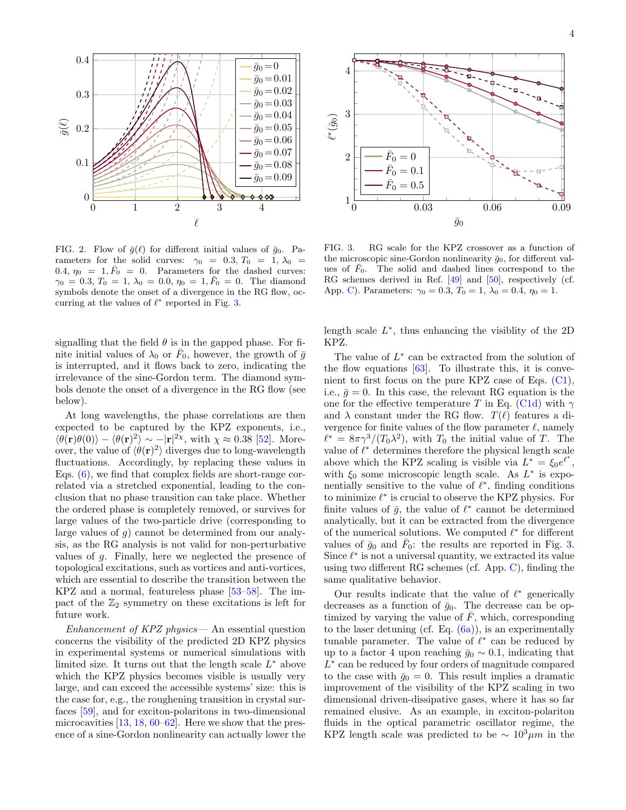

<span id="page-3-0"></span>FIG. 2. Flow of  $\bar{g}(\ell)$  for different initial values of  $\bar{g}_0$ . Parameters for the solid curves:  $\gamma_0 = 0.3, T_0 = 1, \lambda_0 =$ 0.4,  $\eta_0 = 1, \bar{F}_0 = 0$ . Parameters for the dashed curves:  $\gamma_0 = 0.3, T_0 = 1, \lambda_0 = 0.0, \eta_0 = 1, \overline{F}_0 = 0.$  The diamond symbols denote the onset of a divergence in the RG flow, occurring at the values of  $\ell^*$  reported in Fig. [3.](#page-3-1)

signalling that the field  $\theta$  is in the gapped phase. For finite initial values of  $\lambda_0$  or  $\bar{F}_0$ , however, the growth of  $\bar{g}$ is interrupted, and it flows back to zero, indicating the irrelevance of the sine-Gordon term. The diamond symbols denote the onset of a divergence in the RG flow (see below).

At long wavelengths, the phase correlations are then expected to be captured by the KPZ exponents, i.e.,  $\langle \theta(\mathbf{r})\theta(0)\rangle - \langle \theta(\mathbf{r})^2 \rangle \sim -|\mathbf{r}|^{2\chi}$ , with  $\chi \approx 0.38$  [\[52\]](#page-6-45). Moreover, the value of  $\langle \theta(\mathbf{r})^2 \rangle$  diverges due to long-wavelength fluctuations. Accordingly, by replacing these values in Eqs. [\(6\)](#page-1-2), we find that complex fields are short-range correlated via a stretched exponential, leading to the conclusion that no phase transition can take place. Whether the ordered phase is completely removed, or survives for large values of the two-particle drive (corresponding to large values of g) cannot be determined from our analysis, as the RG analysis is not valid for non-perturbative values of g. Finally, here we neglected the presence of topological excitations, such as vortices and anti-vortices, which are essential to describe the transition between the KPZ and a normal, featureless phase [\[53–](#page-6-46)[58\]](#page-6-47). The impact of the  $\mathbb{Z}_2$  symmetry on these excitations is left for future work.

Enhancement of KPZ physics— An essential question concerns the visibility of the predicted 2D KPZ physics in experimental systems or numerical simulations with limited size. It turns out that the length scale  $L^*$  above which the KPZ physics becomes visible is usually very large, and can exceed the accessible systems' size: this is the case for, e.g., the roughening transition in crystal surfaces [\[59\]](#page-6-48), and for exciton-polaritons in two-dimensional microcavities [\[13,](#page-6-10) [18,](#page-6-49) [60](#page-7-0)[–62\]](#page-7-1). Here we show that the presence of a sine-Gordon nonlinearity can actually lower the



<span id="page-3-1"></span>FIG. 3. RG scale for the KPZ crossover as a function of the microscopic sine-Gordon nonlinearity  $\bar{g}_0$ , for different values of  $F_0$ . The solid and dashed lines correspond to the RG schemes derived in Ref. [\[49\]](#page-6-42) and [\[50\]](#page-6-43), respectively (cf. App. [C\)](#page-4-2). Parameters:  $\gamma_0 = 0.3, T_0 = 1, \lambda_0 = 0.4, \eta_0 = 1.$ 

length scale  $L^*$ , thus enhancing the visiblity of the 2D KPZ.

The value of  $L^*$  can be extracted from the solution of the flow equations  $[63]$ . To illustrate this, it is convenient to first focus on the pure KPZ case of Eqs.  $(C_1)$ , i.e.,  $\bar{g} = 0$ . In this case, the relevant RG equation is the one for the effective temperature T in Eq. [\(C1d\)](#page-5-1) with  $\gamma$ and  $\lambda$  constant under the RG flow.  $T(\ell)$  features a divergence for finite values of the flow parameter  $\ell$ , namely  $\ell^* = 8\pi\gamma^3/(T_0\lambda^2)$ , with  $T_0$  the initial value of T. The value of  $\ell^*$  determines therefore the physical length scale above which the KPZ scaling is visible via  $L^* = \xi_0 e^{\ell^*},$ with  $\xi_0$  some microscopic length scale. As  $L^*$  is exponentially sensitive to the value of  $\ell^*$ , finding conditions to minimize  $\ell^*$  is crucial to observe the KPZ physics. For finite values of  $\bar{g}$ , the value of  $\ell^*$  cannot be determined analytically, but it can be extracted from the divergence of the numerical solutions. We computed  $\ell^*$  for different values of  $\bar{g}_0$  and  $\bar{F}_0$ : the results are reported in Fig. [3.](#page-3-1) Since  $\ell^*$  is not a universal quantity, we extracted its value using two different RG schemes (cf. App. [C\)](#page-4-2), finding the same qualitative behavior.

Our results indicate that the value of  $\ell^*$  generically decreases as a function of  $\bar{g}_0$ . The decrease can be optimized by varying the value of  $\overline{F}$ , which, corresponding to the laser detuning (cf. Eq.  $(6a)$ ), is an experimentally tunable parameter. The value of  $\ell^*$  can be reduced by up to a factor 4 upon reaching  $\bar{g}_0 \sim 0.1$ , indicating that L ∗ can be reduced by four orders of magnitude compared to the case with  $\bar{g}_0 = 0$ . This result implies a dramatic improvement of the visibility of the KPZ scaling in two dimensional driven-dissipative gases, where it has so far remained elusive. As an example, in exciton-polariton fluids in the optical parametric oscillator regime, the KPZ length scale was predicted to be  $\sim 10^3 \mu m$  in the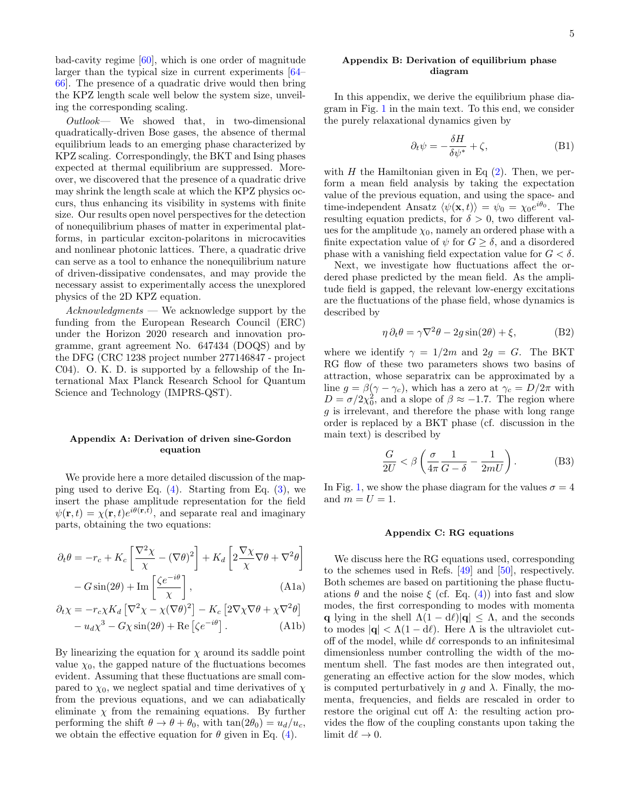bad-cavity regime [\[60\]](#page-7-0), which is one order of magnitude larger than the typical size in current experiments [\[64–](#page-7-3) [66\]](#page-7-4). The presence of a quadratic drive would then bring the KPZ length scale well below the system size, unveiling the corresponding scaling.

 $Outlook$ — We showed that, in two-dimensional quadratically-driven Bose gases, the absence of thermal equilibrium leads to an emerging phase characterized by KPZ scaling. Correspondingly, the BKT and Ising phases expected at thermal equilibrium are suppressed. Moreover, we discovered that the presence of a quadratic drive may shrink the length scale at which the KPZ physics occurs, thus enhancing its visibility in systems with finite size. Our results open novel perspectives for the detection of nonequilibrium phases of matter in experimental platforms, in particular exciton-polaritons in microcavities and nonlinear photonic lattices. There, a quadratic drive can serve as a tool to enhance the nonequilibrium nature of driven-dissipative condensates, and may provide the necessary assist to experimentally access the unexplored physics of the 2D KPZ equation.

Acknowledgments — We acknowledge support by the funding from the European Research Council (ERC) under the Horizon 2020 research and innovation programme, grant agreement No. 647434 (DOQS) and by the DFG (CRC 1238 project number 277146847 - project C04). O. K. D. is supported by a fellowship of the International Max Planck Research School for Quantum Science and Technology (IMPRS-QST).

### <span id="page-4-0"></span>Appendix A: Derivation of driven sine-Gordon equation

We provide here a more detailed discussion of the mapping used to derive Eq.  $(4)$ . Starting from Eq.  $(3)$ , we insert the phase amplitude representation for the field  $\psi(\mathbf{r},t) = \chi(\mathbf{r},t)e^{i\theta(\mathbf{r},t)}$ , and separate real and imaginary parts, obtaining the two equations:

$$
\partial_t \theta = -r_c + K_c \left[ \frac{\nabla^2 \chi}{\chi} - (\nabla \theta)^2 \right] + K_d \left[ 2 \frac{\nabla \chi}{\chi} \nabla \theta + \nabla^2 \theta \right] - G \sin(2\theta) + \text{Im} \left[ \frac{\zeta e^{-i\theta}}{\chi} \right], \tag{A1a}
$$

$$
\partial_t \chi = -r_c \chi K_d \left[ \nabla^2 \chi - \chi (\nabla \theta)^2 \right] - K_c \left[ 2 \nabla \chi \nabla \theta + \chi \nabla^2 \theta \right] - u_d \chi^3 - G \chi \sin(2\theta) + \text{Re} \left[ \zeta e^{-i\theta} \right].
$$
 (A1b)

By linearizing the equation for  $\chi$  around its saddle point value  $\chi_0$ , the gapped nature of the fluctuations becomes evident. Assuming that these fluctuations are small compared to  $\chi_0$ , we neglect spatial and time derivatives of  $\chi$ from the previous equations, and we can adiabatically eliminate  $\chi$  from the remaining equations. By further performing the shift  $\theta \to \theta + \theta_0$ , with  $\tan(2\theta_0) = u_d/u_c$ , we obtain the effective equation for  $\theta$  given in Eq. [\(4\)](#page-1-1).

## <span id="page-4-1"></span>Appendix B: Derivation of equilibrium phase diagram

In this appendix, we derive the equilibrium phase diagram in Fig. [1](#page-2-0) in the main text. To this end, we consider the purely relaxational dynamics given by

$$
\partial_t \psi = -\frac{\delta H}{\delta \psi^*} + \zeta,
$$
 (B1)

with H the Hamiltonian given in Eq  $(2)$ . Then, we perform a mean field analysis by taking the expectation value of the previous equation, and using the space- and time-independent Ansatz  $\langle \psi(\mathbf{x}, t) \rangle = \psi_0 = \chi_0 e^{i\theta_0}$ . The resulting equation predicts, for  $\delta > 0$ , two different values for the amplitude  $\chi_0$ , namely an ordered phase with a finite expectation value of  $\psi$  for  $G \geq \delta$ , and a disordered phase with a vanishing field expectation value for  $G < \delta$ .

Next, we investigate how fluctuations affect the ordered phase predicted by the mean field. As the amplitude field is gapped, the relevant low-energy excitations are the fluctuations of the phase field, whose dynamics is described by

$$
\eta \,\partial_t \theta = \gamma \nabla^2 \theta - 2g \sin(2\theta) + \xi,\tag{B2}
$$

where we identify  $\gamma = 1/2m$  and  $2g = G$ . The BKT RG flow of these two parameters shows two basins of attraction, whose separatrix can be approximated by a line  $g = \beta(\gamma - \gamma_c)$ , which has a zero at  $\gamma_c = D/2\pi$  with  $D = \sigma/2\chi_0^2$ , and a slope of  $\beta \approx -1.7$ . The region where g is irrelevant, and therefore the phase with long range order is replaced by a BKT phase (cf. discussion in the main text) is described by

$$
\frac{G}{2U} < \beta \left( \frac{\sigma}{4\pi} \frac{1}{G - \delta} - \frac{1}{2mU} \right). \tag{B3}
$$

In Fig. [1,](#page-2-0) we show the phase diagram for the values  $\sigma = 4$ and  $m = U = 1$ .

### <span id="page-4-2"></span>Appendix C: RG equations

We discuss here the RG equations used, corresponding to the schemes used in Refs. [\[49\]](#page-6-42) and [\[50\]](#page-6-43), respectively. Both schemes are based on partitioning the phase fluctuations  $\theta$  and the noise  $\xi$  (cf. Eq. [\(4\)](#page-1-1)) into fast and slow modes, the first corresponding to modes with momenta q lying in the shell  $\Lambda(1 - d\ell)|q| \leq \Lambda$ , and the seconds to modes  $|\mathbf{q}| < \Lambda(1 - d\ell)$ . Here  $\Lambda$  is the ultraviolet cutoff of the model, while  $d\ell$  corresponds to an infinitesimal dimensionless number controlling the width of the momentum shell. The fast modes are then integrated out, generating an effective action for the slow modes, which is computed perturbatively in q and  $\lambda$ . Finally, the momenta, frequencies, and fields are rescaled in order to restore the original cut off  $\Lambda$ : the resulting action provides the flow of the coupling constants upon taking the limit  $d\ell \rightarrow 0$ .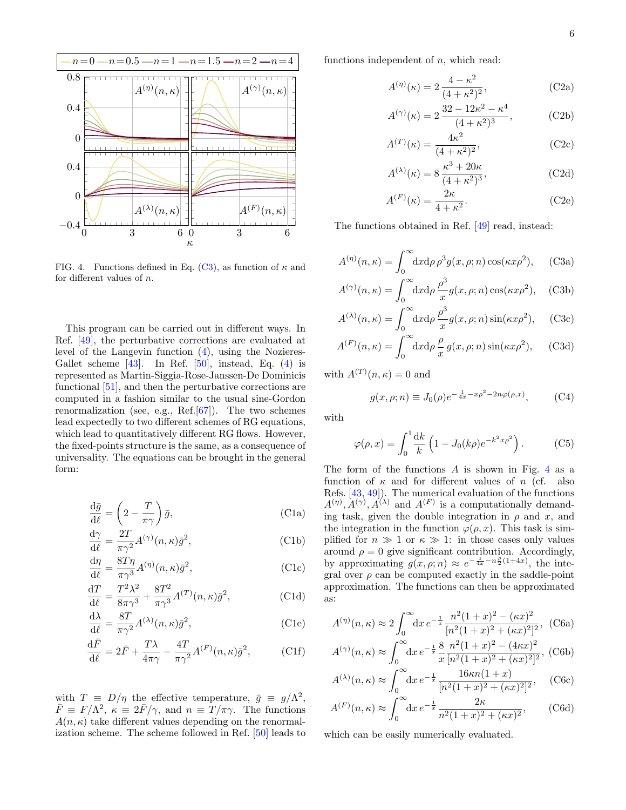

<span id="page-5-3"></span>FIG. 4. Functions defined in Eq. [\(C3\)](#page-5-2), as function of  $\kappa$  and for different values of n.

This program can be carried out in different ways. In Ref. [\[49\]](#page-6-42), the perturbative corrections are evaluated at level of the Langevin function [\(4\)](#page-1-1), using the Nozieres-Gallet scheme  $[43]$ . In Ref.  $[50]$ , instead, Eq.  $(4)$  is represented as Martin-Siggia-Rose-Janssen-De Dominicis functional [\[51\]](#page-6-44), and then the perturbative corrections are computed in a fashion similar to the usual sine-Gordon renormalization (see, e.g., Ref. $[67]$ ). The two schemes lead expectedly to two different schemes of RG equations, which lead to quantitatively different RG flows. However, the fixed-points structure is the same, as a consequence of universality. The equations can be brought in the general form:

<span id="page-5-0"></span>
$$
\frac{\mathrm{d}\bar{g}}{\mathrm{d}\ell} = \left(2 - \frac{T}{\pi \gamma}\right)\bar{g},\tag{C1a}
$$

$$
\frac{d\gamma}{d\ell} = \frac{2T}{\pi\gamma^2} A^{(\gamma)}(n,\kappa)\bar{g}^2,
$$
 (C1b)

$$
\frac{d\eta}{d\ell} = \frac{8T\eta}{\pi\gamma^3} A^{(\eta)}(n,\kappa)\bar{g}^2,
$$
\n(C1c)

$$
\frac{\mathrm{d}T}{\mathrm{d}\ell} = \frac{T^2\lambda^2}{8\pi\gamma^3} + \frac{8T^2}{\pi\gamma^3}A^{(T)}(n,\kappa)\bar{g}^2,\tag{C1d}
$$

$$
\frac{d\lambda}{d\ell} = \frac{8T}{\pi\gamma^2} A^{(\lambda)}(n,\kappa)\bar{g}^2,
$$
\n(C1e)

$$
\frac{\mathrm{d}\bar{F}}{\mathrm{d}\ell} = 2\bar{F} + \frac{T\lambda}{4\pi\gamma} - \frac{4T}{\pi\gamma^2} A^{(F)}(n,\kappa)\bar{g}^2,\tag{C1f}
$$

with  $T \equiv D/\eta$  the effective temperature,  $\bar{g} \equiv g/\Lambda^2$ ,  $\bar{F} \equiv F/\Lambda^2$ ,  $\kappa \equiv 2\bar{F}/\gamma$ , and  $n \equiv \bar{T}/\pi\gamma$ . The functions  $A(n, \kappa)$  take different values depending on the renormalization scheme. The scheme followed in Ref. [\[50\]](#page-6-43) leads to functions independent of  $n$ , which read:

$$
A^{(\eta)}(\kappa) = 2 \frac{4 - \kappa^2}{(4 + \kappa^2)^2},
$$
\n(C2a)

$$
A^{(\gamma)}(\kappa) = 2 \frac{32 - 12\kappa^2 - \kappa^4}{(4 + \kappa^2)^3},
$$
 (C2b)

$$
A^{(T)}(\kappa) = \frac{4\kappa^2}{(4+\kappa^2)^2},\tag{C2c}
$$

$$
A^{(\lambda)}(\kappa) = 8 \frac{\kappa^3 + 20\kappa}{(4 + \kappa^2)^3},
$$
 (C2d)

$$
A^{(F)}(\kappa) = \frac{2\kappa}{4 + \kappa^2}.
$$
 (C2e)

<span id="page-5-2"></span>The functions obtained in Ref. [\[49\]](#page-6-42) read, instead:

$$
A^{(\eta)}(n,\kappa) = \int_0^\infty dx \, d\rho \, \rho^3 g(x,\rho;n) \cos(\kappa x \rho^2), \quad \text{(C3a)}
$$

$$
A^{(\gamma)}(n,\kappa) = \int_0^\infty dx d\rho \, \frac{\rho^3}{x} g(x,\rho;n) \cos(\kappa x \rho^2), \quad \text{(C3b)}
$$

$$
A^{(\lambda)}(n,\kappa) = \int_0^\infty dx d\rho \, \frac{\rho^3}{x} g(x,\rho;n) \sin(\kappa x \rho^2), \quad \text{(C3c)}
$$

$$
A^{(F)}(n,\kappa) = \int_0^\infty dx d\rho \frac{\rho}{x} g(x,\rho;n) \sin(\kappa x \rho^2), \quad \text{(C3d)}
$$

with  $A^{(T)}(n, \kappa) = 0$  and

$$
g(x, \rho; n) \equiv J_0(\rho) e^{-\frac{1}{4x} - x\rho^2 - 2n\varphi(\rho, x)},
$$
 (C4)

with

$$
\varphi(\rho, x) = \int_0^1 \frac{dk}{k} \left( 1 - J_0(k\rho) e^{-k^2 x \rho^2} \right). \tag{C5}
$$

The form of the functions  $A$  is shown in Fig. [4](#page-5-3) as a function of  $\kappa$  and for different values of n (cf. also Refs. [\[43,](#page-6-36) [49\]](#page-6-42)). The numerical evaluation of the functions  $A^{(\eta)}, A^{(\gamma)}, A^{(\lambda)}$  and  $A^{(F)}$  is a computationally demanding task, given the double integration in  $\rho$  and x, and the integration in the function  $\varphi(\rho, x)$ . This task is simplified for  $n \gg 1$  or  $\kappa \gg 1$ : in those cases only values around  $\rho = 0$  give significant contribution. Accordingly, by approximating  $g(x, \rho; n) \approx e^{-\frac{1}{4x} - n\frac{\rho}{2}(1+4x)}$ , the integral over  $\rho$  can be computed exactly in the saddle-point approximation. The functions can then be approximated as:

<span id="page-5-1"></span>
$$
A^{(\eta)}(n,\kappa) \approx 2 \int_0^\infty dx \, e^{-\frac{1}{x}} \frac{n^2 (1+x)^2 - (\kappa x)^2}{[n^2 (1+x)^2 + (\kappa x)^2]^2}, \tag{C6a}
$$

$$
A^{(\gamma)}(n,\kappa) \approx \int_0^\infty dx \, e^{-\frac{1}{x}} \frac{8}{x} \frac{n^2 (1+x)^2 - (4\kappa x)^2}{[n^2 (1+x)^2 + (\kappa x)^2]^2}, \text{ (C6b)}
$$

$$
A^{(\lambda)}(n,\kappa) \approx \int_0^\infty dx \, e^{-\frac{1}{x}} \frac{16\kappa n (1+x)}{[n^2 (1+x)^2 + (\kappa x)^2]^2}, \quad \text{(C6c)}
$$

$$
A^{(F)}(n,\kappa) \approx \int_0^\infty dx \, e^{-\frac{1}{x}} \frac{2\kappa}{n^2 (1+x)^2 + (\kappa x)^2},\qquad \text{(C6d)}
$$

which can be easily numerically evaluated.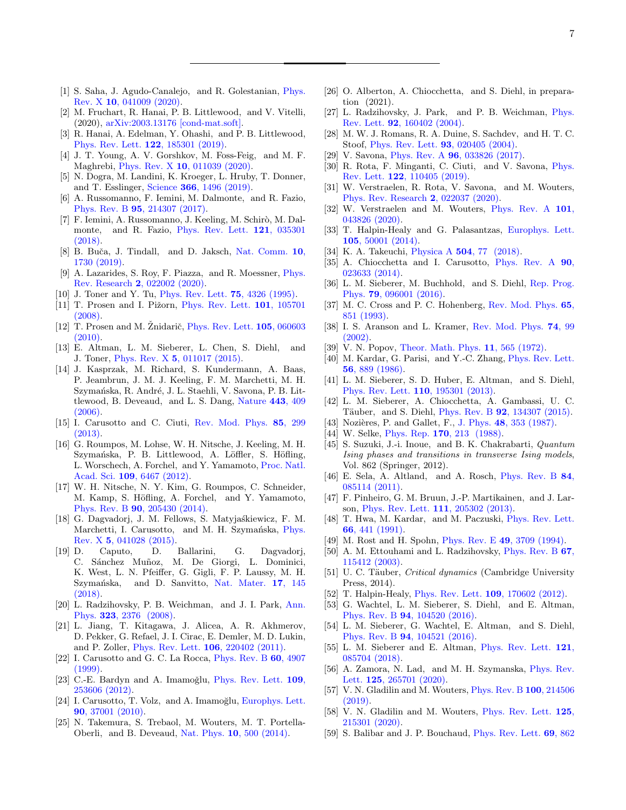- <span id="page-6-0"></span>[1] S. Saha, J. Agudo-Canalejo, and R. Golestanian, [Phys.](http://dx.doi.org/10.1103/PhysRevX.10.041009) Rev. X 10[, 041009 \(2020\).](http://dx.doi.org/10.1103/PhysRevX.10.041009)
- <span id="page-6-1"></span>[2] M. Fruchart, R. Hanai, P. B. Littlewood, and V. Vitelli, (2020), [arXiv:2003.13176 \[cond-mat.soft\].](http://arxiv.org/abs/2003.13176)
- <span id="page-6-2"></span>[3] R. Hanai, A. Edelman, Y. Ohashi, and P. B. Littlewood, [Phys. Rev. Lett.](http://dx.doi.org/10.1103/PhysRevLett.122.185301) 122, 185301 (2019).
- <span id="page-6-3"></span>[4] J. T. Young, A. V. Gorshkov, M. Foss-Feig, and M. F. Maghrebi, Phys. Rev. X 10[, 011039 \(2020\).](http://dx.doi.org/10.1103/PhysRevX.10.011039)
- <span id="page-6-4"></span>[5] N. Dogra, M. Landini, K. Kroeger, L. Hruby, T. Donner, and T. Esslinger, Science 366[, 1496 \(2019\).](http://dx.doi.org/ 10.1126/science.aaw4465)
- <span id="page-6-5"></span>[6] A. Russomanno, F. Iemini, M. Dalmonte, and R. Fazio, Phys. Rev. B 95[, 214307 \(2017\).](http://dx.doi.org/10.1103/PhysRevB.95.214307)
- [7] F. Iemini, A. Russomanno, J. Keeling, M. Schirò, M. Dalmonte, and R. Fazio, [Phys. Rev. Lett.](http://dx.doi.org/ 10.1103/PhysRevLett.121.035301) 121, 035301  $(2018)$ .
- [8] B. Buča, J. Tindall, and D. Jaksch, [Nat. Comm.](http://dx.doi.org/10.1038/s41467-019-09757-y) 10, [1730 \(2019\).](http://dx.doi.org/10.1038/s41467-019-09757-y)
- <span id="page-6-6"></span>[9] A. Lazarides, S. Roy, F. Piazza, and R. Moessner, [Phys.](http://dx.doi.org/ 10.1103/PhysRevResearch.2.022002) Rev. Research 2[, 022002 \(2020\).](http://dx.doi.org/ 10.1103/PhysRevResearch.2.022002)
- <span id="page-6-7"></span>[10] J. Toner and Y. Tu, [Phys. Rev. Lett.](http://dx.doi.org/10.1103/PhysRevLett.75.4326) 75, 4326 (1995).
- <span id="page-6-8"></span>[11] T. Prosen and I. Pižorn, [Phys. Rev. Lett.](http://dx.doi.org/ 10.1103/PhysRevLett.101.105701) **101**, 105701 [\(2008\).](http://dx.doi.org/ 10.1103/PhysRevLett.101.105701)
- <span id="page-6-9"></span>[12] T. Prosen and M. Žnidarič, [Phys. Rev. Lett.](http://dx.doi.org/10.1103/PhysRevLett.105.060603)  $105, 060603$ [\(2010\).](http://dx.doi.org/10.1103/PhysRevLett.105.060603)
- <span id="page-6-10"></span>[13] E. Altman, L. M. Sieberer, L. Chen, S. Diehl, and J. Toner, Phys. Rev. X 5[, 011017 \(2015\).](http://dx.doi.org/ 10.1103/PhysRevX.5.011017)
- <span id="page-6-11"></span>[14] J. Kasprzak, M. Richard, S. Kundermann, A. Baas, P. Jeambrun, J. M. J. Keeling, F. M. Marchetti, M. H. Szymańska, R. André, J. L. Staehli, V. Savona, P. B. Littlewood, B. Deveaud, and L. S. Dang, [Nature](http://dx.doi.org/10.1038/nature05131) 443, 409  $(2006).$
- <span id="page-6-12"></span>[15] I. Carusotto and C. Ciuti, [Rev. Mod. Phys.](http://dx.doi.org/10.1103/RevModPhys.85.299) 85, 299 [\(2013\).](http://dx.doi.org/10.1103/RevModPhys.85.299)
- <span id="page-6-13"></span>[16] G. Roumpos, M. Lohse, W. H. Nitsche, J. Keeling, M. H. Szymańska, P. B. Littlewood, A. Löffler, S. Höfling, L. Worschech, A. Forchel, and Y. Yamamoto, [Proc. Natl.](http://dx.doi.org/ 10.1073/pnas.1107970109) Acad. Sci. 109[, 6467 \(2012\).](http://dx.doi.org/ 10.1073/pnas.1107970109)
- [17] W. H. Nitsche, N. Y. Kim, G. Roumpos, C. Schneider, M. Kamp, S. Höfling, A. Forchel, and Y. Yamamoto, Phys. Rev. B 90[, 205430 \(2014\).](http://dx.doi.org/10.1103/PhysRevB.90.205430)
- <span id="page-6-49"></span>[18] G. Dagvadorj, J. M. Fellows, S. Matyjaśkiewicz, F. M. Marchetti, I. Carusotto, and M. H. Szymańska, [Phys.](http://dx.doi.org/10.1103/PhysRevX.5.041028) Rev. X 5[, 041028 \(2015\).](http://dx.doi.org/10.1103/PhysRevX.5.041028)
- <span id="page-6-14"></span>[19] D. Caputo, D. Ballarini, G. Dagvadorj, C. Sánchez Muñoz, M. De Giorgi, L. Dominici, K. West, L. N. Pfeiffer, G. Gigli, F. P. Laussy, M. H. Szymańska, and D. Sanvitto, [Nat. Mater.](http://dx.doi.org/10.1038/nmat5039) 17, 145  $(2018)$
- <span id="page-6-15"></span>[20] L. Radzihovsky, P. B. Weichman, and J. I. Park, [Ann.](http://dx.doi.org/https://doi.org/10.1016/j.aop.2008.05.008) Phys. 323[, 2376 \(2008\).](http://dx.doi.org/https://doi.org/10.1016/j.aop.2008.05.008)
- <span id="page-6-16"></span>[21] L. Jiang, T. Kitagawa, J. Alicea, A. R. Akhmerov, D. Pekker, G. Refael, J. I. Cirac, E. Demler, M. D. Lukin, and P. Zoller, [Phys. Rev. Lett.](http://dx.doi.org/10.1103/PhysRevLett.106.220402) 106, 220402 (2011).
- <span id="page-6-17"></span>[22] I. Carusotto and G. C. La Rocca, [Phys. Rev. B](http://dx.doi.org/10.1103/PhysRevB.60.4907) 60, 4907 [\(1999\).](http://dx.doi.org/10.1103/PhysRevB.60.4907)
- <span id="page-6-18"></span>[23] C.-E. Bardyn and A. Imamoğlu, [Phys. Rev. Lett.](http://dx.doi.org/ 10.1103/PhysRevLett.109.253606) 109, [253606 \(2012\).](http://dx.doi.org/ 10.1103/PhysRevLett.109.253606)
- <span id="page-6-19"></span>[24] I. Carusotto, T. Volz, and A. Imamoğlu, [Europhys. Lett.](http://dx.doi.org/10.1209/0295-5075/90/37001) 90[, 37001 \(2010\).](http://dx.doi.org/10.1209/0295-5075/90/37001)
- <span id="page-6-20"></span>[25] N. Takemura, S. Trebaol, M. Wouters, M. T. Portella-Oberli, and B. Deveaud, Nat. Phys. 10[, 500 \(2014\).](http://dx.doi.org/10.1038/nphys2999)
- <span id="page-6-21"></span>[26] O. Alberton, A. Chiocchetta, and S. Diehl, in preparation (2021).
- <span id="page-6-22"></span>[27] L. Radzihovsky, J. Park, and P. B. Weichman, [Phys.](http://dx.doi.org/10.1103/PhysRevLett.92.160402) Rev. Lett. 92[, 160402 \(2004\).](http://dx.doi.org/10.1103/PhysRevLett.92.160402)
- <span id="page-6-23"></span>[28] M. W. J. Romans, R. A. Duine, S. Sachdev, and H. T. C. Stoof, [Phys. Rev. Lett.](http://dx.doi.org/10.1103/PhysRevLett.93.020405) 93, 020405 (2004).
- <span id="page-6-24"></span>[29] V. Savona, Phys. Rev. A 96[, 033826 \(2017\).](http://dx.doi.org/10.1103/PhysRevA.96.033826)
- [30] R. Rota, F. Minganti, C. Ciuti, and V. Savona, [Phys.](http://dx.doi.org/ 10.1103/PhysRevLett.122.110405) Rev. Lett. 122[, 110405 \(2019\).](http://dx.doi.org/ 10.1103/PhysRevLett.122.110405)
- [31] W. Verstraelen, R. Rota, V. Savona, and M. Wouters, [Phys. Rev. Research](http://dx.doi.org/ 10.1103/PhysRevResearch.2.022037) 2, 022037 (2020).
- <span id="page-6-25"></span>[32] W. Verstraelen and M. Wouters, [Phys. Rev. A](http://dx.doi.org/10.1103/PhysRevA.101.043826) 101, [043826 \(2020\).](http://dx.doi.org/10.1103/PhysRevA.101.043826)
- <span id="page-6-26"></span>[33] T. Halpin-Healy and G. Palasantzas, [Europhys. Lett.](http://dx.doi.org/10.1209/0295-5075/105/50001) 105[, 50001 \(2014\).](http://dx.doi.org/10.1209/0295-5075/105/50001)
- <span id="page-6-27"></span>[34] K. A. Takeuchi, Physica A **504**[, 77 \(2018\).](http://dx.doi.org/https://doi.org/10.1016/j.physa.2018.03.009)
- <span id="page-6-28"></span>[35] A. Chiocchetta and I. Carusotto, [Phys. Rev. A](http://dx.doi.org/10.1103/PhysRevA.90.023633) **90**, [023633 \(2014\).](http://dx.doi.org/10.1103/PhysRevA.90.023633)
- <span id="page-6-29"></span>[36] L. M. Sieberer, M. Buchhold, and S. Diehl, [Rep. Prog.](http://dx.doi.org/10.1088/0034-4885/79/9/096001) Phys. 79[, 096001 \(2016\).](http://dx.doi.org/10.1088/0034-4885/79/9/096001)
- <span id="page-6-30"></span>[37] M. C. Cross and P. C. Hohenberg, [Rev. Mod. Phys.](http://dx.doi.org/10.1103/RevModPhys.65.851) 65, [851 \(1993\).](http://dx.doi.org/10.1103/RevModPhys.65.851)
- <span id="page-6-31"></span>[38] I. S. Aranson and L. Kramer, [Rev. Mod. Phys.](http://dx.doi.org/10.1103/RevModPhys.74.99) 74, 99 [\(2002\).](http://dx.doi.org/10.1103/RevModPhys.74.99)
- <span id="page-6-32"></span>[39] V. N. Popov, [Theor. Math. Phys.](http://dx.doi.org/10.1007/BF01028373) **11**, 565 (1972).
- <span id="page-6-33"></span>[40] M. Kardar, G. Parisi, and Y.-C. Zhang, [Phys. Rev. Lett.](http://dx.doi.org/10.1103/PhysRevLett.56.889) 56[, 889 \(1986\).](http://dx.doi.org/10.1103/PhysRevLett.56.889)
- <span id="page-6-34"></span>[41] L. M. Sieberer, S. D. Huber, E. Altman, and S. Diehl, [Phys. Rev. Lett.](http://dx.doi.org/ 10.1103/PhysRevLett.110.195301) 110, 195301 (2013).
- <span id="page-6-35"></span>[42] L. M. Sieberer, A. Chiocchetta, A. Gambassi, U. C. Täuber, and S. Diehl, Phys. Rev. B **92**[, 134307 \(2015\).](http://dx.doi.org/10.1103/PhysRevB.92.134307)
- <span id="page-6-36"></span>[43] Nozières, P. and Gallet, F., J. Phys. 48[, 353 \(1987\).](http://dx.doi.org/ 10.1051/jphys:01987004803035300)
- <span id="page-6-37"></span>[44] W. Selke, Phys. Rep. **170**[, 213 \(1988\).](http://dx.doi.org/https://doi.org/10.1016/0370-1573(88)90140-8)
- <span id="page-6-38"></span>[45] S. Suzuki, J.-i. Inoue, and B. K. Chakrabarti, *Quantum* Ising phases and transitions in transverse Ising models, Vol. 862 (Springer, 2012).
- <span id="page-6-39"></span>[46] E. Sela, A. Altland, and A. Rosch, [Phys. Rev. B](http://dx.doi.org/10.1103/PhysRevB.84.085114) 84, [085114 \(2011\).](http://dx.doi.org/10.1103/PhysRevB.84.085114)
- <span id="page-6-40"></span>[47] F. Pinheiro, G. M. Bruun, J.-P. Martikainen, and J. Larson, [Phys. Rev. Lett.](http://dx.doi.org/10.1103/PhysRevLett.111.205302) 111, 205302 (2013).
- <span id="page-6-41"></span>[48] T. Hwa, M. Kardar, and M. Paczuski, [Phys. Rev. Lett.](http://dx.doi.org/10.1103/PhysRevLett.66.441) 66[, 441 \(1991\).](http://dx.doi.org/10.1103/PhysRevLett.66.441)
- <span id="page-6-42"></span>[49] M. Rost and H. Spohn, Phys. Rev. E 49[, 3709 \(1994\).](http://dx.doi.org/10.1103/PhysRevE.49.3709)
- <span id="page-6-43"></span>[50] A. M. Ettouhami and L. Radzihovsky, [Phys. Rev. B](http://dx.doi.org/10.1103/PhysRevB.67.115412) 67, [115412 \(2003\).](http://dx.doi.org/10.1103/PhysRevB.67.115412)
- <span id="page-6-44"></span>[51] U. C. Täuber, *Critical dynamics* (Cambridge University Press, 2014).
- <span id="page-6-45"></span>[52] T. Halpin-Healy, [Phys. Rev. Lett.](http://dx.doi.org/10.1103/PhysRevLett.109.170602) **109**, 170602 (2012).
- <span id="page-6-46"></span>[53] G. Wachtel, L. M. Sieberer, S. Diehl, and E. Altman, Phys. Rev. B 94[, 104520 \(2016\).](http://dx.doi.org/10.1103/PhysRevB.94.104520)
- [54] L. M. Sieberer, G. Wachtel, E. Altman, and S. Diehl, Phys. Rev. B 94[, 104521 \(2016\).](http://dx.doi.org/ 10.1103/PhysRevB.94.104521)
- [55] L. M. Sieberer and E. Altman, [Phys. Rev. Lett.](http://dx.doi.org/10.1103/PhysRevLett.121.085704) 121, [085704 \(2018\).](http://dx.doi.org/10.1103/PhysRevLett.121.085704)
- [56] A. Zamora, N. Lad, and M. H. Szymanska, [Phys. Rev.](http://dx.doi.org/10.1103/PhysRevLett.125.265701) Lett. 125[, 265701 \(2020\).](http://dx.doi.org/10.1103/PhysRevLett.125.265701)
- [57] V. N. Gladilin and M. Wouters, [Phys. Rev. B](http://dx.doi.org/10.1103/PhysRevB.100.214506) 100, 214506 [\(2019\).](http://dx.doi.org/10.1103/PhysRevB.100.214506)
- <span id="page-6-47"></span>[58] V. N. Gladilin and M. Wouters, [Phys. Rev. Lett.](http://dx.doi.org/10.1103/PhysRevLett.125.215301) 125, [215301 \(2020\).](http://dx.doi.org/10.1103/PhysRevLett.125.215301)
- <span id="page-6-48"></span>[59] S. Balibar and J. P. Bouchaud, [Phys. Rev. Lett.](http://dx.doi.org/10.1103/PhysRevLett.69.862) **69**, 862